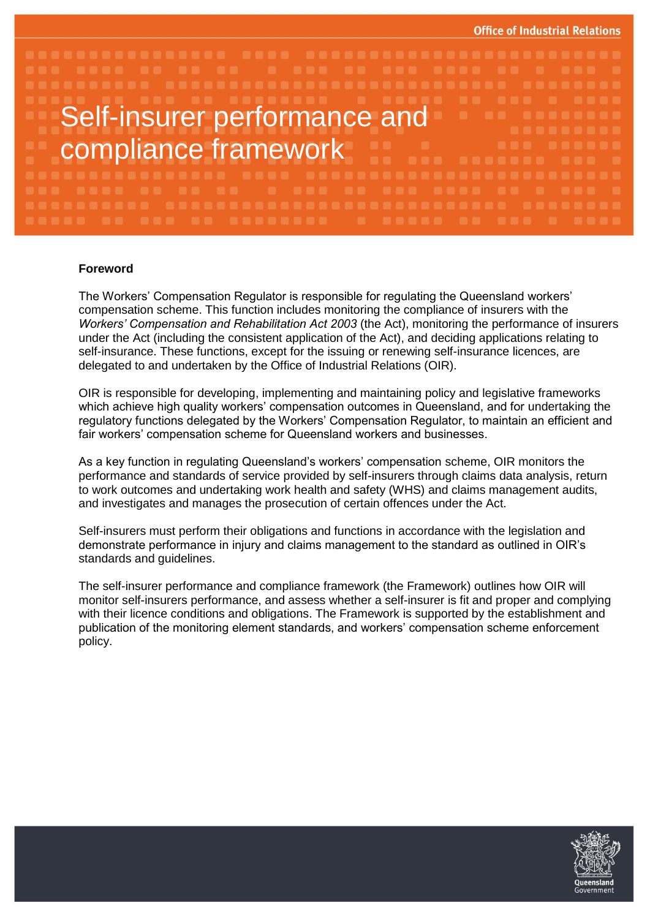

## **Foreword**

The Workers' Compensation Regulator is responsible for regulating the Queensland workers' compensation scheme. This function includes monitoring the compliance of insurers with the *Workers' Compensation and Rehabilitation Act 2003* (the Act), monitoring the performance of insurers under the Act (including the consistent application of the Act), and deciding applications relating to self-insurance. These functions, except for the issuing or renewing self-insurance licences, are delegated to and undertaken by the Office of Industrial Relations (OIR).

OIR is responsible for developing, implementing and maintaining policy and legislative frameworks which achieve high quality workers' compensation outcomes in Queensland, and for undertaking the regulatory functions delegated by the Workers' Compensation Regulator, to maintain an efficient and fair workers' compensation scheme for Queensland workers and businesses.

As a key function in regulating Queensland's workers' compensation scheme, OIR monitors the performance and standards of service provided by self-insurers through claims data analysis, return to work outcomes and undertaking work health and safety (WHS) and claims management audits, and investigates and manages the prosecution of certain offences under the Act.

Self-insurers must perform their obligations and functions in accordance with the legislation and demonstrate performance in injury and claims management to the standard as outlined in OIR's standards and guidelines.

The self-insurer performance and compliance framework (the Framework) outlines how OIR will monitor self-insurers performance, and assess whether a self-insurer is fit and proper and complying with their licence conditions and obligations. The Framework is supported by the establishment and publication of the monitoring element standards, and workers' compensation scheme enforcement policy.

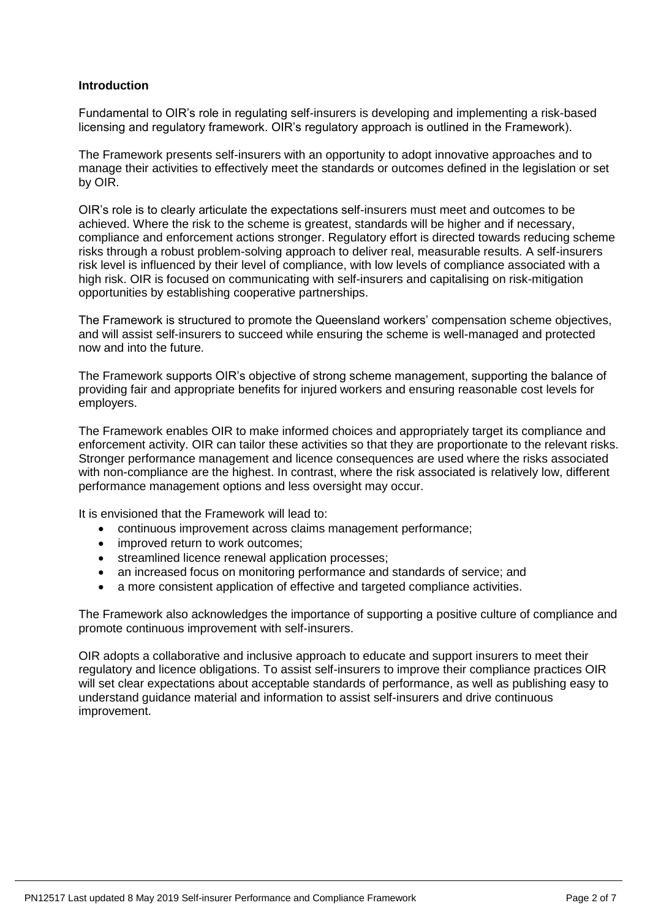## **Introduction**

Fundamental to OIR's role in regulating self-insurers is developing and implementing a risk-based licensing and regulatory framework. OIR's regulatory approach is outlined in the Framework).

The Framework presents self-insurers with an opportunity to adopt innovative approaches and to manage their activities to effectively meet the standards or outcomes defined in the legislation or set by OIR.

OIR's role is to clearly articulate the expectations self-insurers must meet and outcomes to be achieved. Where the risk to the scheme is greatest, standards will be higher and if necessary, compliance and enforcement actions stronger. Regulatory effort is directed towards reducing scheme risks through a robust problem-solving approach to deliver real, measurable results. A self-insurers risk level is influenced by their level of compliance, with low levels of compliance associated with a high risk. OIR is focused on communicating with self-insurers and capitalising on risk-mitigation opportunities by establishing cooperative partnerships.

The Framework is structured to promote the Queensland workers' compensation scheme objectives, and will assist self-insurers to succeed while ensuring the scheme is well-managed and protected now and into the future.

The Framework supports OIR's objective of strong scheme management, supporting the balance of providing fair and appropriate benefits for injured workers and ensuring reasonable cost levels for employers.

The Framework enables OIR to make informed choices and appropriately target its compliance and enforcement activity. OIR can tailor these activities so that they are proportionate to the relevant risks. Stronger performance management and licence consequences are used where the risks associated with non-compliance are the highest. In contrast, where the risk associated is relatively low, different performance management options and less oversight may occur.

It is envisioned that the Framework will lead to:

- continuous improvement across claims management performance;
- improved return to work outcomes;
- streamlined licence renewal application processes;
- an increased focus on monitoring performance and standards of service; and
- a more consistent application of effective and targeted compliance activities.

The Framework also acknowledges the importance of supporting a positive culture of compliance and promote continuous improvement with self-insurers.

OIR adopts a collaborative and inclusive approach to educate and support insurers to meet their regulatory and licence obligations. To assist self-insurers to improve their compliance practices OIR will set clear expectations about acceptable standards of performance, as well as publishing easy to understand guidance material and information to assist self-insurers and drive continuous improvement.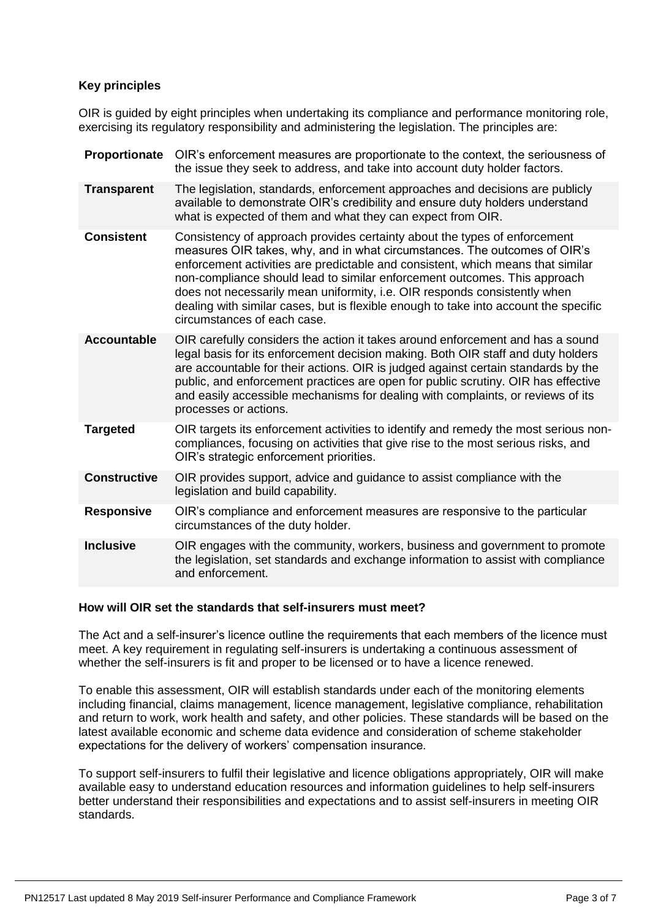# **Key principles**

OIR is guided by eight principles when undertaking its compliance and performance monitoring role, exercising its regulatory responsibility and administering the legislation. The principles are:

| Proportionate       | OIR's enforcement measures are proportionate to the context, the seriousness of<br>the issue they seek to address, and take into account duty holder factors.                                                                                                                                                                                                                                                                                                                                                              |
|---------------------|----------------------------------------------------------------------------------------------------------------------------------------------------------------------------------------------------------------------------------------------------------------------------------------------------------------------------------------------------------------------------------------------------------------------------------------------------------------------------------------------------------------------------|
| <b>Transparent</b>  | The legislation, standards, enforcement approaches and decisions are publicly<br>available to demonstrate OIR's credibility and ensure duty holders understand<br>what is expected of them and what they can expect from OIR.                                                                                                                                                                                                                                                                                              |
| <b>Consistent</b>   | Consistency of approach provides certainty about the types of enforcement<br>measures OIR takes, why, and in what circumstances. The outcomes of OIR's<br>enforcement activities are predictable and consistent, which means that similar<br>non-compliance should lead to similar enforcement outcomes. This approach<br>does not necessarily mean uniformity, i.e. OIR responds consistently when<br>dealing with similar cases, but is flexible enough to take into account the specific<br>circumstances of each case. |
| <b>Accountable</b>  | OIR carefully considers the action it takes around enforcement and has a sound<br>legal basis for its enforcement decision making. Both OIR staff and duty holders<br>are accountable for their actions. OIR is judged against certain standards by the<br>public, and enforcement practices are open for public scrutiny. OIR has effective<br>and easily accessible mechanisms for dealing with complaints, or reviews of its<br>processes or actions.                                                                   |
| <b>Targeted</b>     | OIR targets its enforcement activities to identify and remedy the most serious non-<br>compliances, focusing on activities that give rise to the most serious risks, and<br>OIR's strategic enforcement priorities.                                                                                                                                                                                                                                                                                                        |
| <b>Constructive</b> | OIR provides support, advice and guidance to assist compliance with the<br>legislation and build capability.                                                                                                                                                                                                                                                                                                                                                                                                               |
| <b>Responsive</b>   | OIR's compliance and enforcement measures are responsive to the particular<br>circumstances of the duty holder.                                                                                                                                                                                                                                                                                                                                                                                                            |
| <b>Inclusive</b>    | OIR engages with the community, workers, business and government to promote<br>the legislation, set standards and exchange information to assist with compliance<br>and enforcement.                                                                                                                                                                                                                                                                                                                                       |
|                     |                                                                                                                                                                                                                                                                                                                                                                                                                                                                                                                            |

# **How will OIR set the standards that self-insurers must meet?**

The Act and a self-insurer's licence outline the requirements that each members of the licence must meet. A key requirement in regulating self-insurers is undertaking a continuous assessment of whether the self-insurers is fit and proper to be licensed or to have a licence renewed.

To enable this assessment, OIR will establish standards under each of the monitoring elements including financial, claims management, licence management, legislative compliance, rehabilitation and return to work, work health and safety, and other policies. These standards will be based on the latest available economic and scheme data evidence and consideration of scheme stakeholder expectations for the delivery of workers' compensation insurance.

To support self-insurers to fulfil their legislative and licence obligations appropriately, OIR will make available easy to understand education resources and information guidelines to help self-insurers better understand their responsibilities and expectations and to assist self-insurers in meeting OIR standards.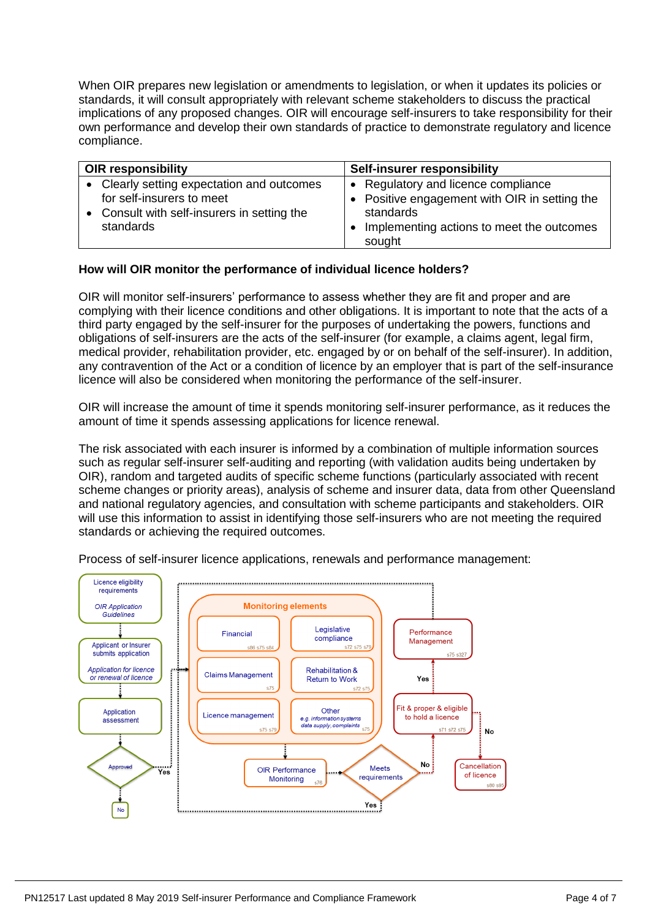When OIR prepares new legislation or amendments to legislation, or when it updates its policies or standards, it will consult appropriately with relevant scheme stakeholders to discuss the practical implications of any proposed changes. OIR will encourage self-insurers to take responsibility for their own performance and develop their own standards of practice to demonstrate regulatory and licence compliance.

| <b>OIR responsibility</b>                                                                                                       | Self-insurer responsibility                                                                                                                              |
|---------------------------------------------------------------------------------------------------------------------------------|----------------------------------------------------------------------------------------------------------------------------------------------------------|
| Clearly setting expectation and outcomes<br>for self-insurers to meet<br>Consult with self-insurers in setting the<br>standards | • Regulatory and licence compliance<br>• Positive engagement with OIR in setting the<br>standards<br>Implementing actions to meet the outcomes<br>sought |

# **How will OIR monitor the performance of individual licence holders?**

OIR will monitor self-insurers' performance to assess whether they are fit and proper and are complying with their licence conditions and other obligations. It is important to note that the acts of a third party engaged by the self-insurer for the purposes of undertaking the powers, functions and obligations of self-insurers are the acts of the self-insurer (for example, a claims agent, legal firm, medical provider, rehabilitation provider, etc. engaged by or on behalf of the self-insurer). In addition, any contravention of the Act or a condition of licence by an employer that is part of the self-insurance licence will also be considered when monitoring the performance of the self-insurer.

OIR will increase the amount of time it spends monitoring self-insurer performance, as it reduces the amount of time it spends assessing applications for licence renewal.

The risk associated with each insurer is informed by a combination of multiple information sources such as regular self-insurer self-auditing and reporting (with validation audits being undertaken by OIR), random and targeted audits of specific scheme functions (particularly associated with recent scheme changes or priority areas), analysis of scheme and insurer data, data from other Queensland and national regulatory agencies, and consultation with scheme participants and stakeholders. OIR will use this information to assist in identifying those self-insurers who are not meeting the required standards or achieving the required outcomes.



Process of self-insurer licence applications, renewals and performance management: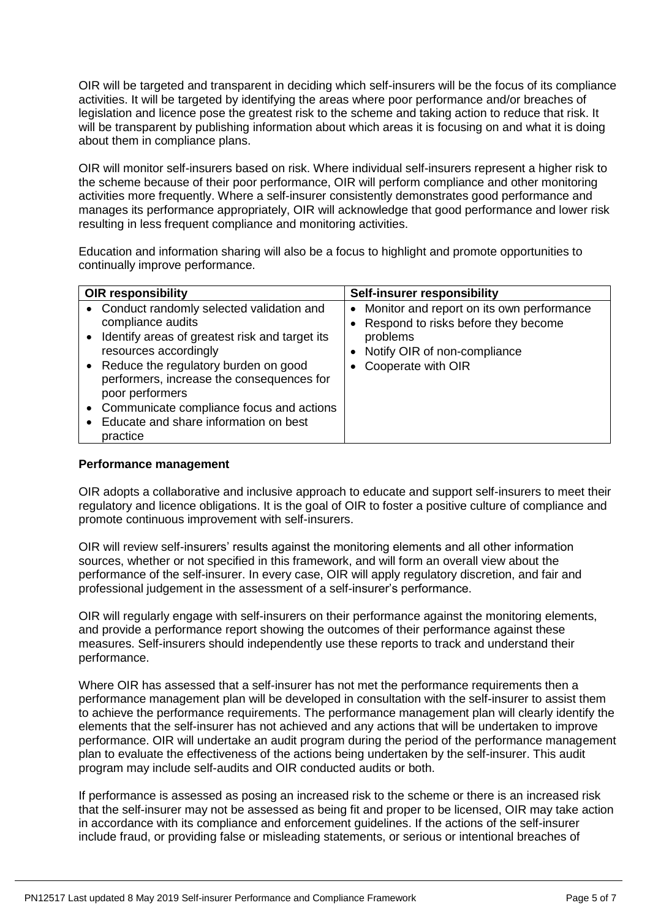OIR will be targeted and transparent in deciding which self-insurers will be the focus of its compliance activities. It will be targeted by identifying the areas where poor performance and/or breaches of legislation and licence pose the greatest risk to the scheme and taking action to reduce that risk. It will be transparent by publishing information about which areas it is focusing on and what it is doing about them in compliance plans.

OIR will monitor self-insurers based on risk. Where individual self-insurers represent a higher risk to the scheme because of their poor performance, OIR will perform compliance and other monitoring activities more frequently. Where a self-insurer consistently demonstrates good performance and manages its performance appropriately, OIR will acknowledge that good performance and lower risk resulting in less frequent compliance and monitoring activities.

Education and information sharing will also be a focus to highlight and promote opportunities to continually improve performance.

| <b>OIR responsibility</b>                                                                                                                                                                                                                                                                                                                           | Self-insurer responsibility                                                                                                                                         |
|-----------------------------------------------------------------------------------------------------------------------------------------------------------------------------------------------------------------------------------------------------------------------------------------------------------------------------------------------------|---------------------------------------------------------------------------------------------------------------------------------------------------------------------|
| • Conduct randomly selected validation and<br>compliance audits<br>Identify areas of greatest risk and target its<br>resources accordingly<br>Reduce the regulatory burden on good<br>performers, increase the consequences for<br>poor performers<br>Communicate compliance focus and actions<br>Educate and share information on best<br>practice | • Monitor and report on its own performance<br>• Respond to risks before they become<br>problems<br>Notify OIR of non-compliance<br>Cooperate with OIR<br>$\bullet$ |

#### **Performance management**

OIR adopts a collaborative and inclusive approach to educate and support self-insurers to meet their regulatory and licence obligations. It is the goal of OIR to foster a positive culture of compliance and promote continuous improvement with self-insurers.

OIR will review self-insurers' results against the monitoring elements and all other information sources, whether or not specified in this framework, and will form an overall view about the performance of the self-insurer. In every case, OIR will apply regulatory discretion, and fair and professional judgement in the assessment of a self-insurer's performance.

OIR will regularly engage with self-insurers on their performance against the monitoring elements, and provide a performance report showing the outcomes of their performance against these measures. Self-insurers should independently use these reports to track and understand their performance.

Where OIR has assessed that a self-insurer has not met the performance requirements then a performance management plan will be developed in consultation with the self-insurer to assist them to achieve the performance requirements. The performance management plan will clearly identify the elements that the self-insurer has not achieved and any actions that will be undertaken to improve performance. OIR will undertake an audit program during the period of the performance management plan to evaluate the effectiveness of the actions being undertaken by the self-insurer. This audit program may include self-audits and OIR conducted audits or both.

If performance is assessed as posing an increased risk to the scheme or there is an increased risk that the self-insurer may not be assessed as being fit and proper to be licensed, OIR may take action in accordance with its compliance and enforcement guidelines. If the actions of the self-insurer include fraud, or providing false or misleading statements, or serious or intentional breaches of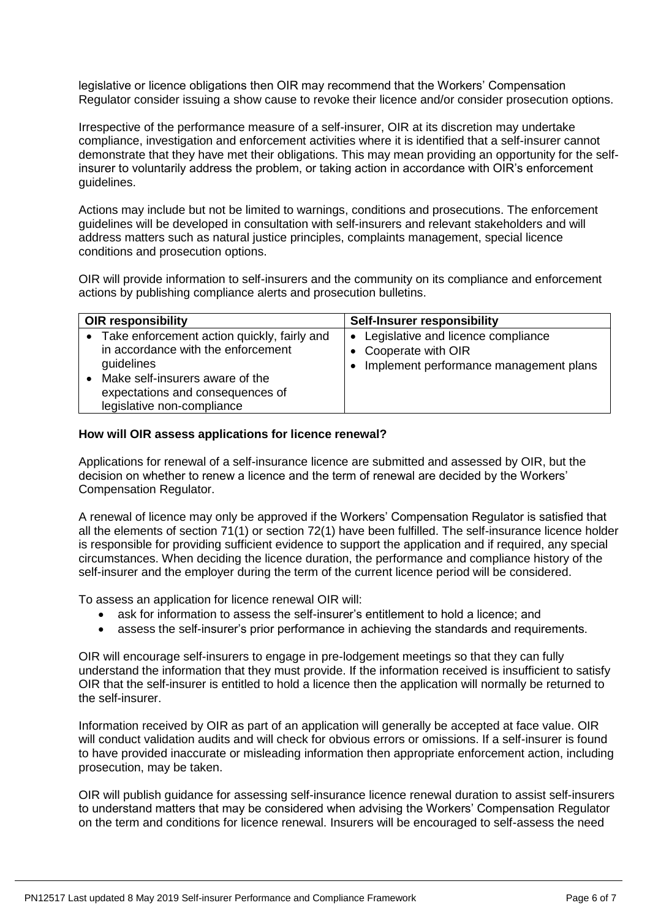legislative or licence obligations then OIR may recommend that the Workers' Compensation Regulator consider issuing a show cause to revoke their licence and/or consider prosecution options.

Irrespective of the performance measure of a self-insurer, OIR at its discretion may undertake compliance, investigation and enforcement activities where it is identified that a self-insurer cannot demonstrate that they have met their obligations. This may mean providing an opportunity for the selfinsurer to voluntarily address the problem, or taking action in accordance with OIR's enforcement guidelines.

Actions may include but not be limited to warnings, conditions and prosecutions. The enforcement guidelines will be developed in consultation with self-insurers and relevant stakeholders and will address matters such as natural justice principles, complaints management, special licence conditions and prosecution options.

OIR will provide information to self-insurers and the community on its compliance and enforcement actions by publishing compliance alerts and prosecution bulletins.

| <b>OIR responsibility</b>                                                                                                                                                                              | <b>Self-Insurer responsibility</b>                                                                                             |
|--------------------------------------------------------------------------------------------------------------------------------------------------------------------------------------------------------|--------------------------------------------------------------------------------------------------------------------------------|
| • Take enforcement action quickly, fairly and<br>in accordance with the enforcement<br>guidelines<br>Make self-insurers aware of the<br>expectations and consequences of<br>legislative non-compliance | Legislative and licence compliance<br>$\bullet$<br>• Cooperate with OIR<br>Implement performance management plans<br>$\bullet$ |

## **How will OIR assess applications for licence renewal?**

Applications for renewal of a self-insurance licence are submitted and assessed by OIR, but the decision on whether to renew a licence and the term of renewal are decided by the Workers' Compensation Regulator.

A renewal of licence may only be approved if the Workers' Compensation Regulator is satisfied that all the elements of section 71(1) or section 72(1) have been fulfilled. The self-insurance licence holder is responsible for providing sufficient evidence to support the application and if required, any special circumstances. When deciding the licence duration, the performance and compliance history of the self-insurer and the employer during the term of the current licence period will be considered.

To assess an application for licence renewal OIR will:

- ask for information to assess the self-insurer's entitlement to hold a licence; and
- assess the self-insurer's prior performance in achieving the standards and requirements.

OIR will encourage self-insurers to engage in pre-lodgement meetings so that they can fully understand the information that they must provide. If the information received is insufficient to satisfy OIR that the self-insurer is entitled to hold a licence then the application will normally be returned to the self-insurer.

Information received by OIR as part of an application will generally be accepted at face value. OIR will conduct validation audits and will check for obvious errors or omissions. If a self-insurer is found to have provided inaccurate or misleading information then appropriate enforcement action, including prosecution, may be taken.

OIR will publish guidance for assessing self-insurance licence renewal duration to assist self-insurers to understand matters that may be considered when advising the Workers' Compensation Regulator on the term and conditions for licence renewal. Insurers will be encouraged to self-assess the need